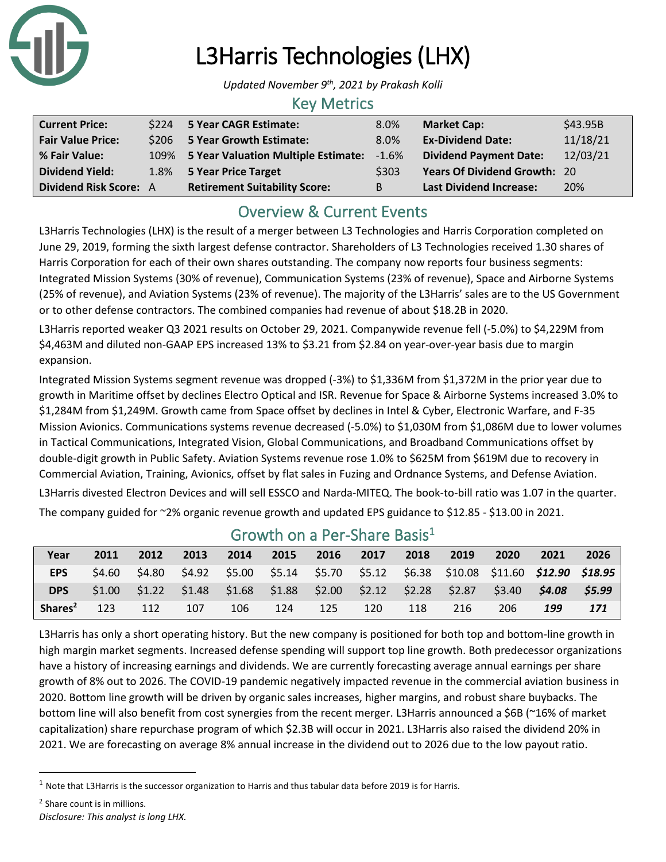

# L3Harris Technologies (LHX)

*Updated November 9th, 2021 by Prakash Kolli*

### Key Metrics

| <b>Current Price:</b>         | \$224 5 Year CAGR Estimate:              | 8.0%    | <b>Market Cap:</b>                  | \$43.95B |
|-------------------------------|------------------------------------------|---------|-------------------------------------|----------|
| <b>Fair Value Price:</b>      | \$206 5 Year Growth Estimate:            | 8.0%    | <b>Ex-Dividend Date:</b>            | 11/18/21 |
| % Fair Value:                 | 109% 5 Year Valuation Multiple Estimate: | $-1.6%$ | <b>Dividend Payment Date:</b>       | 12/03/21 |
| <b>Dividend Yield:</b>        | 1.8% 5 Year Price Target                 | \$303   | <b>Years Of Dividend Growth: 20</b> |          |
| <b>Dividend Risk Score: A</b> | <b>Retirement Suitability Score:</b>     | B.      | <b>Last Dividend Increase:</b>      | 20%      |

# Overview & Current Events

L3Harris Technologies (LHX) is the result of a merger between L3 Technologies and Harris Corporation completed on June 29, 2019, forming the sixth largest defense contractor. Shareholders of L3 Technologies received 1.30 shares of Harris Corporation for each of their own shares outstanding. The company now reports four business segments: Integrated Mission Systems (30% of revenue), Communication Systems (23% of revenue), Space and Airborne Systems (25% of revenue), and Aviation Systems (23% of revenue). The majority of the L3Harris' sales are to the US Government or to other defense contractors. The combined companies had revenue of about \$18.2B in 2020.

L3Harris reported weaker Q3 2021 results on October 29, 2021. Companywide revenue fell (-5.0%) to \$4,229M from \$4,463M and diluted non-GAAP EPS increased 13% to \$3.21 from \$2.84 on year-over-year basis due to margin expansion.

Integrated Mission Systems segment revenue was dropped (-3%) to \$1,336M from \$1,372M in the prior year due to growth in Maritime offset by declines Electro Optical and ISR. Revenue for Space & Airborne Systems increased 3.0% to \$1,284M from \$1,249M. Growth came from Space offset by declines in Intel & Cyber, Electronic Warfare, and F-35 Mission Avionics. Communications systems revenue decreased (-5.0%) to \$1,030M from \$1,086M due to lower volumes in Tactical Communications, Integrated Vision, Global Communications, and Broadband Communications offset by double-digit growth in Public Safety. Aviation Systems revenue rose 1.0% to \$625M from \$619M due to recovery in Commercial Aviation, Training, Avionics, offset by flat sales in Fuzing and Ordnance Systems, and Defense Aviation. L3Harris divested Electron Devices and will sell ESSCO and Narda-MITEQ. The book-to-bill ratio was 1.07 in the quarter. The company guided for ~2% organic revenue growth and updated EPS guidance to \$12.85 - \$13.00 in 2021.

| Year                | 2011   | 2012   | 2013 | 2014 | 2015 | 2016 | 2017 | 2018 | 2019                                                                                                 | 2020 | 2021   | 2026  |
|---------------------|--------|--------|------|------|------|------|------|------|------------------------------------------------------------------------------------------------------|------|--------|-------|
| <b>EPS</b>          | \$4.60 | \$4.80 |      |      |      |      |      |      | \$4.92    \$5.00    \$5.14    \$5.70    \$5.12    \$6.38    \$10.08    \$11.60    \$12.90    \$18.95 |      |        |       |
| <b>DPS</b>          | \$1.00 |        |      |      |      |      |      |      | $$1.22$ $$1.48$ $$1.68$ $$1.88$ $$2.00$ $$2.12$ $$2.28$ $$2.87$ $$3.40$                              |      | \$4.08 | S5.99 |
| Shares <sup>2</sup> | 123    | 112    | 107  | 106  | 124  | 125  | 120  | 118  | 216                                                                                                  | 206  | 199    | 171   |

### Growth on a Per-Share Basis<sup>1</sup>

L3Harris has only a short operating history. But the new company is positioned for both top and bottom-line growth in high margin market segments. Increased defense spending will support top line growth. Both predecessor organizations have a history of increasing earnings and dividends. We are currently forecasting average annual earnings per share growth of 8% out to 2026. The COVID-19 pandemic negatively impacted revenue in the commercial aviation business in 2020. Bottom line growth will be driven by organic sales increases, higher margins, and robust share buybacks. The bottom line will also benefit from cost synergies from the recent merger. L3Harris announced a \$6B (~16% of market capitalization) share repurchase program of which \$2.3B will occur in 2021. L3Harris also raised the dividend 20% in 2021. We are forecasting on average 8% annual increase in the dividend out to 2026 due to the low payout ratio.

<sup>2</sup> Share count is in millions.

<sup>1</sup> Note that L3Harris is the successor organization to Harris and thus tabular data before 2019 is for Harris.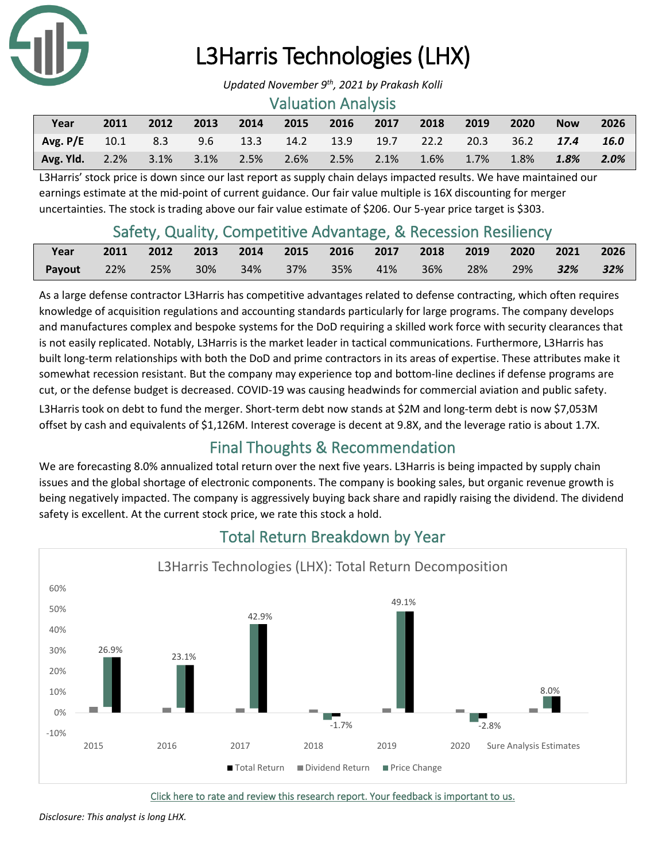

# L3Harris Technologies (LHX)

#### Valuation Analysis

| Year                                                          | 2011 | 2012 | 2013 | $\sim$ 2014 | 2015 | 2016 2017 | 2018 | 2019                    | 2020 | <b>Now</b>          | 2026    |
|---------------------------------------------------------------|------|------|------|-------------|------|-----------|------|-------------------------|------|---------------------|---------|
| Avg. P/E 10.1 8.3 9.6 13.3 14.2 13.9 19.7 22.2 20.3 36.2 17.4 |      |      |      |             |      |           |      |                         |      |                     | 16.0    |
| Avg. Yld. 2.2% 3.1% 3.1% 2.5% 2.6% 2.5% 2.1%                  |      |      |      |             |      |           |      | $1.6\%$ $1.7\%$ $1.8\%$ |      | $\blacksquare$ 1.8% | $2.0\%$ |

L3Harris' stock price is down since our last report as supply chain delays impacted results. We have maintained our earnings estimate at the mid-point of current guidance. Our fair value multiple is 16X discounting for merger uncertainties. The stock is trading above our fair value estimate of \$206. Our 5-year price target is \$303.

## Safety, Quality, Competitive Advantage, & Recession Resiliency

| Year       | 2011 |        |     |  |                     | 2012 2013 2014 2015 2016 2017 2018 2019 2020 2021 2026 |     |         |     |
|------------|------|--------|-----|--|---------------------|--------------------------------------------------------|-----|---------|-----|
| Payout 22% |      | $-25%$ | 30% |  | 34% 37% 35% 41% 36% |                                                        | 28% | 29% 32% | 32% |

As a large defense contractor L3Harris has competitive advantages related to defense contracting, which often requires knowledge of acquisition regulations and accounting standards particularly for large programs. The company develops and manufactures complex and bespoke systems for the DoD requiring a skilled work force with security clearances that is not easily replicated. Notably, L3Harris is the market leader in tactical communications. Furthermore, L3Harris has built long-term relationships with both the DoD and prime contractors in its areas of expertise. These attributes make it somewhat recession resistant. But the company may experience top and bottom-line declines if defense programs are cut, or the defense budget is decreased. COVID-19 was causing headwinds for commercial aviation and public safety.

L3Harris took on debt to fund the merger. Short-term debt now stands at \$2M and long-term debt is now \$7,053M offset by cash and equivalents of \$1,126M. Interest coverage is decent at 9.8X, and the leverage ratio is about 1.7X.

# Final Thoughts & Recommendation

We are forecasting 8.0% annualized total return over the next five years. L3Harris is being impacted by supply chain issues and the global shortage of electronic components. The company is booking sales, but organic revenue growth is being negatively impacted. The company is aggressively buying back share and rapidly raising the dividend. The dividend safety is excellent. At the current stock price, we rate this stock a hold.



# Total Return Breakdown by Year

[Click here to rate and review this research report. Your feedback is important to us.](https://suredividend.typeform.com/to/Dxzcqv) 

*[Disclosure: This analyst is long LHX.](https://suredividend.typeform.com/to/Dxzcqv)*

*Updated November 9th, 2021 by Prakash Kolli*